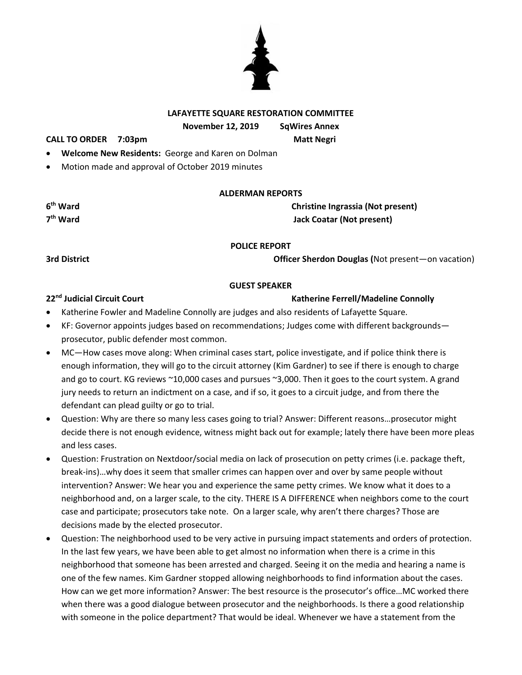# **LAFAYETTE SQUARE RESTORATION COMMITTEE**

**November 12, 2019 SqWires Annex**

**CALL TO ORDER 7:03pm Matt Negri**

- **Welcome New Residents:** George and Karen on Dolman
- Motion made and approval of October 2019 minutes

### **ALDERMAN REPORTS**

**Christine Ingrassia (Not present) there** Jack Coatar (Not present)

### **POLICE REPORT**

**3rd District Officer Sherdon Douglas (**Not present—on vacation)

### **GUEST SPEAKER**

### **22nd Judicial Circuit Court Katherine Ferrell/Madeline Connolly**

- Katherine Fowler and Madeline Connolly are judges and also residents of Lafayette Square.
- KF: Governor appoints judges based on recommendations; Judges come with different backgrounds prosecutor, public defender most common.
- MC—How cases move along: When criminal cases start, police investigate, and if police think there is enough information, they will go to the circuit attorney (Kim Gardner) to see if there is enough to charge and go to court. KG reviews ~10,000 cases and pursues ~3,000. Then it goes to the court system. A grand jury needs to return an indictment on a case, and if so, it goes to a circuit judge, and from there the defendant can plead guilty or go to trial.
- Question: Why are there so many less cases going to trial? Answer: Different reasons…prosecutor might decide there is not enough evidence, witness might back out for example; lately there have been more pleas and less cases.
- Question: Frustration on Nextdoor/social media on lack of prosecution on petty crimes (i.e. package theft, break-ins)…why does it seem that smaller crimes can happen over and over by same people without intervention? Answer: We hear you and experience the same petty crimes. We know what it does to a neighborhood and, on a larger scale, to the city. THERE IS A DIFFERENCE when neighbors come to the court case and participate; prosecutors take note. On a larger scale, why aren't there charges? Those are decisions made by the elected prosecutor.
- Question: The neighborhood used to be very active in pursuing impact statements and orders of protection. In the last few years, we have been able to get almost no information when there is a crime in this neighborhood that someone has been arrested and charged. Seeing it on the media and hearing a name is one of the few names. Kim Gardner stopped allowing neighborhoods to find information about the cases. How can we get more information? Answer: The best resource is the prosecutor's office…MC worked there when there was a good dialogue between prosecutor and the neighborhoods. Is there a good relationship with someone in the police department? That would be ideal. Whenever we have a statement from the



**6**

7<sup>th</sup> Ward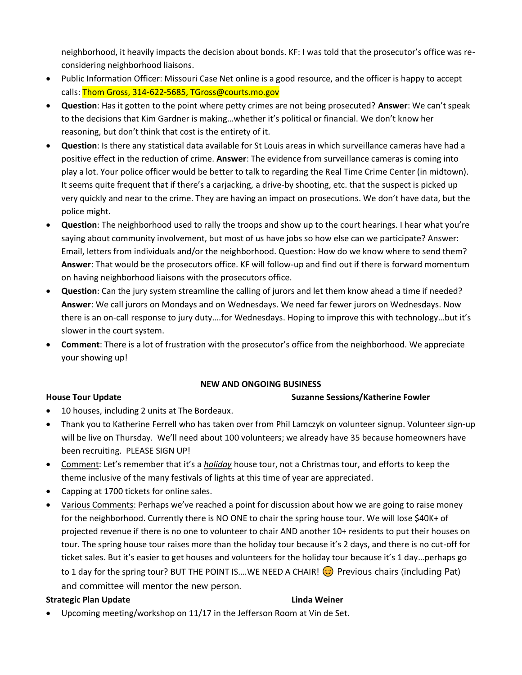neighborhood, it heavily impacts the decision about bonds. KF: I was told that the prosecutor's office was reconsidering neighborhood liaisons.

- Public Information Officer: Missouri Case Net online is a good resource, and the officer is happy to accept calls: Thom Gross, 314-622-5685, TGross@courts.mo.gov
- **Question**: Has it gotten to the point where petty crimes are not being prosecuted? **Answer**: We can't speak to the decisions that Kim Gardner is making…whether it's political or financial. We don't know her reasoning, but don't think that cost is the entirety of it.
- **Question**: Is there any statistical data available for St Louis areas in which surveillance cameras have had a positive effect in the reduction of crime. **Answer**: The evidence from surveillance cameras is coming into play a lot. Your police officer would be better to talk to regarding the Real Time Crime Center (in midtown). It seems quite frequent that if there's a carjacking, a drive-by shooting, etc. that the suspect is picked up very quickly and near to the crime. They are having an impact on prosecutions. We don't have data, but the police might.
- **Question**: The neighborhood used to rally the troops and show up to the court hearings. I hear what you're saying about community involvement, but most of us have jobs so how else can we participate? Answer: Email, letters from individuals and/or the neighborhood. Question: How do we know where to send them? **Answer**: That would be the prosecutors office. KF will follow-up and find out if there is forward momentum on having neighborhood liaisons with the prosecutors office.
- **Question**: Can the jury system streamline the calling of jurors and let them know ahead a time if needed? **Answer**: We call jurors on Mondays and on Wednesdays. We need far fewer jurors on Wednesdays. Now there is an on-call response to jury duty….for Wednesdays. Hoping to improve this with technology…but it's slower in the court system.
- **Comment**: There is a lot of frustration with the prosecutor's office from the neighborhood. We appreciate your showing up!

# **NEW AND ONGOING BUSINESS**

# **House Tour Update Suzanne Sessions/Katherine Fowler**

- 10 houses, including 2 units at The Bordeaux.
- Thank you to Katherine Ferrell who has taken over from Phil Lamczyk on volunteer signup. Volunteer sign-up will be live on Thursday. We'll need about 100 volunteers; we already have 35 because homeowners have been recruiting. PLEASE SIGN UP!
- Comment: Let's remember that it's a *holiday* house tour, not a Christmas tour, and efforts to keep the theme inclusive of the many festivals of lights at this time of year are appreciated.
- Capping at 1700 tickets for online sales.
- Various Comments: Perhaps we've reached a point for discussion about how we are going to raise money for the neighborhood. Currently there is NO ONE to chair the spring house tour. We will lose \$40K+ of projected revenue if there is no one to volunteer to chair AND another 10+ residents to put their houses on tour. The spring house tour raises more than the holiday tour because it's 2 days, and there is no cut-off for ticket sales. But it's easier to get houses and volunteers for the holiday tour because it's 1 day…perhaps go to 1 day for the spring tour? BUT THE POINT IS....WE NEED A CHAIR!  $\odot$  Previous chairs (including Pat) and committee will mentor the new person.

### **Strategic Plan Update Linda Weiner**

Upcoming meeting/workshop on 11/17 in the Jefferson Room at Vin de Set.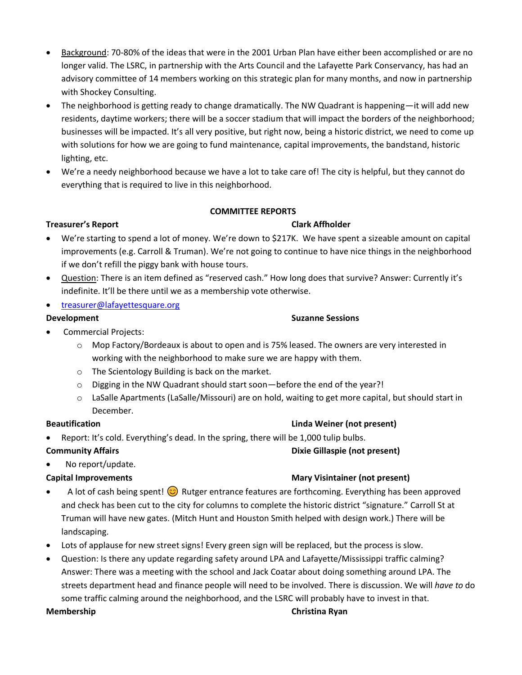- Background: 70-80% of the ideas that were in the 2001 Urban Plan have either been accomplished or are no longer valid. The LSRC, in partnership with the Arts Council and the Lafayette Park Conservancy, has had an advisory committee of 14 members working on this strategic plan for many months, and now in partnership with Shockey Consulting.
- The neighborhood is getting ready to change dramatically. The NW Quadrant is happening—it will add new residents, daytime workers; there will be a soccer stadium that will impact the borders of the neighborhood; businesses will be impacted. It's all very positive, but right now, being a historic district, we need to come up with solutions for how we are going to fund maintenance, capital improvements, the bandstand, historic lighting, etc.
- We're a needy neighborhood because we have a lot to take care of! The city is helpful, but they cannot do everything that is required to live in this neighborhood.

# **COMMITTEE REPORTS**

# **Treasurer's Report Clark Affholder**

- We're starting to spend a lot of money. We're down to \$217K. We have spent a sizeable amount on capital improvements (e.g. Carroll & Truman). We're not going to continue to have nice things in the neighborhood if we don't refill the piggy bank with house tours.
- Question: There is an item defined as "reserved cash." How long does that survive? Answer: Currently it's indefinite. It'll be there until we as a membership vote otherwise.
- [treasurer@lafayettesquare.org](mailto:treasurer@lafayettesquare.org)

# • Commercial Projects:

- $\circ$  Mop Factory/Bordeaux is about to open and is 75% leased. The owners are very interested in working with the neighborhood to make sure we are happy with them.
- o The Scientology Building is back on the market.
- o Digging in the NW Quadrant should start soon—before the end of the year?!
- o LaSalle Apartments (LaSalle/Missouri) are on hold, waiting to get more capital, but should start in December.

# **Beautification Linda Weiner (not present)**

Report: It's cold. Everything's dead. In the spring, there will be 1,000 tulip bulbs.

### **Community Affairs Dixie Gillaspie (not present)**

No report/update.

# **Capital Improvements Mary Visintainer (not present)**

- A lot of cash being spent!  $\odot$  Rutger entrance features are forthcoming. Everything has been approved and check has been cut to the city for columns to complete the historic district "signature." Carroll St at Truman will have new gates. (Mitch Hunt and Houston Smith helped with design work.) There will be landscaping.
- Lots of applause for new street signs! Every green sign will be replaced, but the process is slow.
- Question: Is there any update regarding safety around LPA and Lafayette/Mississippi traffic calming? Answer: There was a meeting with the school and Jack Coatar about doing something around LPA. The streets department head and finance people will need to be involved. There is discussion. We will *have to* do some traffic calming around the neighborhood, and the LSRC will probably have to invest in that.

### **Membership Christina Ryan**

# **Development Suzanne Sessions**